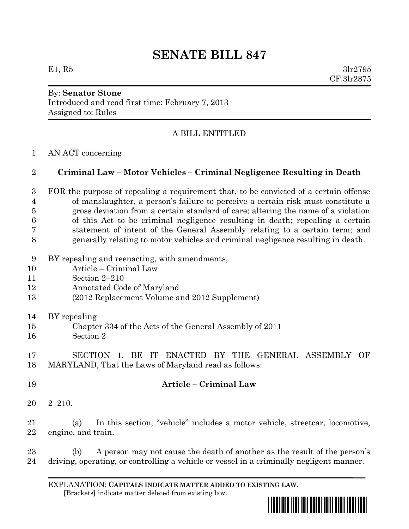## **SENATE BILL 847**

E1, R5  $3\text{lr}2795$ CF 3lr2875

# By: **Senator Stone**

Introduced and read first time: February 7, 2013 Assigned to: Rules

## A BILL ENTITLED

### AN ACT concerning

### **Criminal Law – Motor Vehicles – Criminal Negligence Resulting in Death**

 FOR the purpose of repealing a requirement that, to be convicted of a certain offense of manslaughter, a person's failure to perceive a certain risk must constitute a gross deviation from a certain standard of care; altering the name of a violation of this Act to be criminal negligence resulting in death; repealing a certain statement of intent of the General Assembly relating to a certain term; and generally relating to motor vehicles and criminal negligence resulting in death.

- BY repealing and reenacting, with amendments,
- Article Criminal Law
- Section 2–210
- Annotated Code of Maryland
- (2012 Replacement Volume and 2012 Supplement)
- BY repealing
- Chapter 334 of the Acts of the General Assembly of 2011
- Section 2

 SECTION 1. BE IT ENACTED BY THE GENERAL ASSEMBLY OF MARYLAND, That the Laws of Maryland read as follows:

- **Article – Criminal Law**
- 2–210.

 (a) In this section, "vehicle" includes a motor vehicle, streetcar, locomotive, engine, and train.

 (b) A person may not cause the death of another as the result of the person's driving, operating, or controlling a vehicle or vessel in a criminally negligent manner.

EXPLANATION: **CAPITALS INDICATE MATTER ADDED TO EXISTING LAW**.  **[**Brackets**]** indicate matter deleted from existing law.